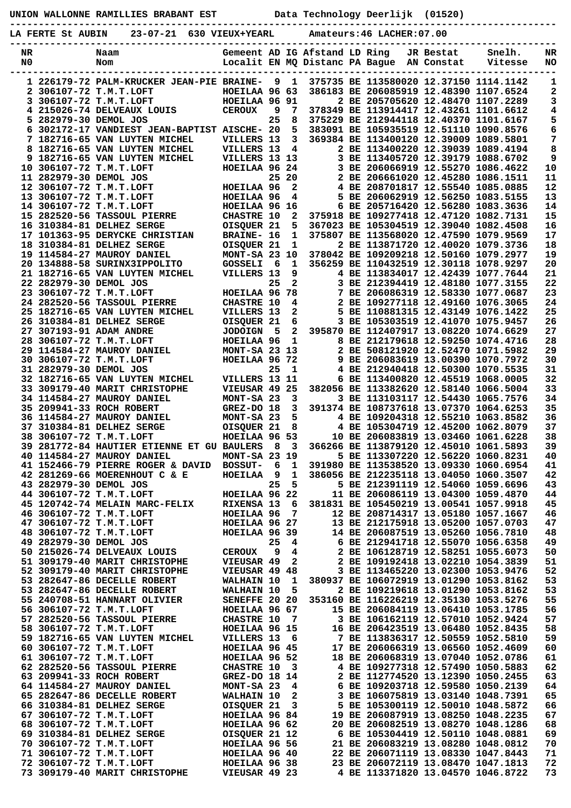| UNION WALLONNE RAMILLIES BRABANT EST |  |  |  |
|--------------------------------------|--|--|--|
|--------------------------------------|--|--|--|

**UNION WALLONNE RAMILLIES BRABANT EST Data Technology Deerlijk (01520)**

**-----------------------------------------------------------------------------------------------**

|                      | $23 - 07 - 21$<br>LA FERTE St AUBIN                                   | 630 VIEUX+YEARL                |         |                              |                               | Amateurs: 46 LACHER: 07.00                |           |                                                                                  |                 |
|----------------------|-----------------------------------------------------------------------|--------------------------------|---------|------------------------------|-------------------------------|-------------------------------------------|-----------|----------------------------------------------------------------------------------|-----------------|
| NR<br>N <sub>0</sub> | Naam<br>Nom                                                           |                                |         |                              | Gemeent AD IG Afstand LD Ring | Localit EN MQ Distanc PA Bague AN Constat | JR Bestat | Snelh.<br>Vitesse                                                                | NR<br>NO        |
|                      | 1 226179-72 PALM-KRUCKER JEAN-PIE BRAINE- 9 1                         |                                |         |                              |                               |                                           |           | 375735 BE 113580020 12.37150 1114.1142                                           | 1               |
|                      | 2 306107-72 T.M.T.LOFT                                                | HOEILAA 96 63                  |         |                              |                               |                                           |           | 386183 BE 206085919 12.48390 1107.6524                                           | 2               |
|                      | 3 306107-72 T.M.T.LOFT                                                | <b>HOEILAA 96 91</b>           |         |                              |                               |                                           |           | 2 BE 205705620 12.48470 1107.2289                                                | 3               |
|                      | 4 215026-74 DELVEAUX LOUIS<br>5 282979-30 DEMOL JOS                   | <b>CEROUX</b>                  | 9<br>25 | 7<br>8                       |                               |                                           |           | 378349 BE 113914417 12.43261 1101.6612<br>375229 BE 212944118 12.40370 1101.6167 | 4<br>5          |
|                      | 6 302172-17 VANDIEST JEAN-BAPTIST AISCHE- 20                          |                                |         | 5                            |                               |                                           |           | 383091 BE 105935519 12.51110 1090.8576                                           | 6               |
|                      | 7 182716-65 VAN LUYTEN MICHEL                                         | VILLERS 13                     |         | $\mathbf{3}$                 |                               |                                           |           | 369384 BE 113400120 12.39009 1089.5801                                           | 7               |
|                      | 8 182716-65 VAN LUYTEN MICHEL                                         | VILLERS 13                     |         | $\overline{4}$               |                               |                                           |           | 2 BE 113400220 12.39039 1089.4194                                                | 8               |
|                      | 182716-65 VAN LUYTEN MICHEL<br>10 306107-72 T.M.T.LOFT                | VILLERS 13 13<br>HOEILAA 96 24 |         |                              |                               |                                           |           | 3 BE 113405720 12.39179 1088.6702<br>3 BE 206066919 12.55270 1086.4622           | 9<br>${\bf 10}$ |
|                      | 11 282979-30 DEMOL JOS                                                |                                |         | 25 20                        |                               |                                           |           | 2 BE 206661020 12.45280 1086.1511                                                | 11              |
|                      | 12 306107-72 T.M.T.LOFT                                               | HOEILAA 96                     |         | $\mathbf{2}$                 |                               |                                           |           | 4 BE 208701817 12.55540 1085.0885                                                | ${\bf 12}$      |
|                      | 13 306107-72 T.M.T.LOFT                                               | HOEILAA 96                     |         | 4                            |                               |                                           |           | 5 BE 206062919 12.56250 1083.5155                                                | 13              |
|                      | 14 306107-72 T.M.T.LOFT                                               | HOEILAA 96 16                  |         |                              |                               |                                           |           | 6 BE 205716420 12.56280 1083.3636                                                | 14              |
|                      | 15 282520-56 TASSOUL PIERRE<br>16 310384-81 DELHEZ SERGE              | CHASTRE 10<br>OISQUER 21       |         | $\overline{a}$<br>5          |                               |                                           |           | 375918 BE 109277418 12.47120 1082.7131<br>367023 BE 105304519 12.39040 1082.4508 | 15<br>16        |
|                      | 17 101363-95 DERYCKE CHRISTIAN                                        | <b>BRAINE- 16</b>              |         | $\mathbf{1}$                 |                               |                                           |           | 375807 BE 113568020 12.47590 1079.9569                                           | 17              |
|                      | 18 310384-81 DELHEZ SERGE                                             | OISQUER 21                     |         | $\mathbf{1}$                 |                               |                                           |           | 2 BE 113871720 12.40020 1079.3736                                                | 18              |
|                      | 19 114584-27 MAUROY DANIEL                                            | MONT-SA 23 10                  |         |                              |                               |                                           |           | 378042 BE 109209218 12.50160 1079.2977                                           | 19              |
|                      | 20 134888-58 SURINX3IPPOLITO                                          | GOSSELI <sub>6</sub>           |         | $\mathbf{1}$                 |                               |                                           |           | 356259 BE 110432519 12.30118 1078.9297                                           | 20              |
|                      | 21 182716-65 VAN LUYTEN MICHEL<br>22 282979-30 DEMOL JOS              | VILLERS 13                     | 25      | $\overline{2}$               | $9^{\circ}$                   |                                           |           | 4 BE 113834017 12.42439 1077.7644<br>3 BE 212394419 12.48180 1077.3155           | 21<br>22        |
|                      | 23 306107-72 T.M.T.LOFT                                               | HOEILAA 96 78                  |         |                              |                               |                                           |           | 7 BE 206086319 12.58330 1077.0687                                                | 23              |
|                      | 24 282520-56 TASSOUL PIERRE                                           | <b>CHASTRE 10</b>              |         | $\overline{\mathbf{4}}$      |                               |                                           |           | 2 BE 109277118 12.49160 1076.3065                                                | 24              |
|                      | 25 182716-65 VAN LUYTEN MICHEL                                        | VILLERS 13                     |         | $\mathbf{2}$                 |                               |                                           |           | 5 BE 110881315 12.43149 1076.1422                                                | 25              |
|                      | 26 310384-81 DELHEZ SERGE                                             | OISQUER 21                     |         | 6                            |                               |                                           |           | 3 BE 105303519 12.41070 1075.9457                                                | 26              |
|                      | 27 307193-91 ADAM ANDRE<br>28 306107-72 T.M.T.LOFT                    | <b>JODOIGN</b><br>HOEILAA 96   | 5       | $\mathbf{2}$<br>$\mathbf{1}$ |                               |                                           |           | 395870 BE 112407917 13.08220 1074.6629<br>8 BE 212179618 12.59250 1074.4716      | 27<br>28        |
|                      | 29 114584-27 MAUROY DANIEL                                            | MONT-SA 23 13                  |         |                              |                               |                                           |           | 2 BE 508121920 12.52470 1071.5982                                                | 29              |
|                      | 30 306107-72 T.M.T.LOFT                                               | HOEILAA 96 72                  |         |                              |                               |                                           |           | 9 BE 206083619 13.00390 1070.7972                                                | 30              |
|                      | 31 282979-30 DEMOL JOS                                                |                                | 25      | $\mathbf{1}$                 |                               |                                           |           | 4 BE 212940418 12.50300 1070.5535                                                | 31              |
|                      | 32 182716-65 VAN LUYTEN MICHEL                                        | VILLERS 13 11                  |         |                              |                               |                                           |           | 6 BE 113400820 12.45519 1068.0005                                                | 32              |
|                      | 33 309179-40 MARIT CHRISTOPHE<br>34 114584-27 MAUROY DANIEL           | VIEUSAR 49 25<br>MONT-SA 23    |         | $\mathbf{3}$                 |                               |                                           |           | 382056 BE 113382620 12.58140 1066.5004<br>3 BE 113103117 12.54430 1065.7576      | 33<br>34        |
|                      | 35 209941-33 ROCH ROBERT                                              | GREZ-DO 18                     |         | 3 <sup>7</sup>               |                               |                                           |           | 391374 BE 108737618 13.07370 1064.6253                                           | 35              |
|                      | 36 114584-27 MAUROY DANIEL                                            | MONT-SA 23                     |         | 5                            |                               |                                           |           | 4 BE 109204318 12.55210 1063.8582                                                | 36              |
|                      | 37 310384-81 DELHEZ SERGE                                             | OISQUER 21                     |         | 8                            |                               |                                           |           | 4 BE 105304719 12.45200 1062.8079                                                | 37              |
|                      | 38 306107-72 T.M.T.LOFT<br>39 281772-84 HAUTIER ETIENNE ET GU BAULERS | HOEILAA 96 53                  | 8       | $\overline{\mathbf{3}}$      |                               |                                           |           | 10 BE 206083819 13.03460 1061.6228<br>366266 BE 113879120 12.45010 1061.5893     | 38<br>39        |
|                      | 40 114584-27 MAUROY DANIEL                                            | <b>MONT-SA 23 19</b>           |         |                              |                               | 5 BE 113307220 12.56220 1060.8231         |           |                                                                                  | 40              |
|                      | 41 152466-79 PIERRE ROGER & DAVID                                     | <b>BOSSUT-</b>                 | 6       | 1                            |                               |                                           |           | 391980 BE 113538520 13.09330 1060.6954                                           | 41              |
|                      | 42 281269-66 MOERENHOUT C & E                                         | HOEILAA                        | 9       | $\mathbf{1}$                 |                               |                                           |           | 386056 BE 212235118 13.04050 1060.3507                                           | 42              |
|                      | 43 282979-30 DEMOL JOS                                                |                                | 25      | 5                            |                               |                                           |           | 5 BE 212391119 12.54060 1059.6696                                                | 43              |
|                      | 44 306107-72 T.M.T.LOFT<br>45 120742-74 MELAIN MARC-FELIX             | HOEILAA 96 22<br>RIXENSA 13    |         | - 6                          |                               |                                           |           | 11 BE 206086119 13.04300 1059.4870<br>381831 BE 105450219 13.00541 1057.9918     | 44<br>45        |
|                      | 46 306107-72 T.M.T.LOFT                                               | HOEILAA 96                     |         | 7                            |                               |                                           |           | 12 BE 208714317 13.05180 1057.1667                                               | 46              |
|                      | 47 306107-72 T.M.T.LOFT                                               | HOEILAA 96 27                  |         |                              |                               |                                           |           | 13 BE 212175918 13.05200 1057.0703                                               | 47              |
|                      | 48 306107-72 T.M.T.LOFT                                               | HOEILAA 96 39                  |         |                              |                               |                                           |           | 14 BE 206087519 13.05260 1056.7810                                               | 48              |
|                      | 49 282979-30 DEMOL JOS<br>50 215026-74 DELVEAUX LOUIS                 | <b>CEROUX</b>                  | 25<br>9 | 4<br>4                       |                               |                                           |           | 6 BE 212941718 12.55070 1056.6358<br>2 BE 106128719 12.58251 1055.6073           | 49<br>50        |
|                      | 51 309179-40 MARIT CHRISTOPHE                                         | VIEUSAR 49                     |         | 2                            |                               |                                           |           | 2 BE 109192418 13.02210 1054.3839                                                | 51              |
|                      | 52 309179-40 MARIT CHRISTOPHE                                         | VIEUSAR 49 48                  |         |                              |                               |                                           |           | 3 BE 113465220 13.02300 1053.9476                                                | 52              |
|                      | 53 282647-86 DECELLE ROBERT                                           | WALHAIN 10                     |         | $\mathbf{1}$                 |                               |                                           |           | 380937 BE 106072919 13.01290 1053.8162                                           | 53              |
|                      | 53 282647-86 DECELLE ROBERT                                           | WALHAIN 10                     |         | 5                            |                               |                                           |           | 2 BE 109219618 13.01290 1053.8162                                                | 53              |
|                      | 55 240708-51 HANNART OLIVIER<br>56 306107-72 T.M.T.LOFT               | SENEFFE 20 20<br>HOEILAA 96 67 |         |                              |                               |                                           |           | 353160 BE 116226219 12.35130 1053.5276<br>15 BE 206084119 13.06410 1053.1785     | 55<br>56        |
|                      | 57 282520-56 TASSOUL PIERRE                                           | <b>CHASTRE 10</b>              |         | - 7                          |                               |                                           |           | 3 BE 106162119 12.57010 1052.9424                                                | 57              |
|                      | 58 306107-72 T.M.T.LOFT                                               | HOEILAA 96 15                  |         |                              |                               |                                           |           | 16 BE 206423519 13.06480 1052.8435                                               | 58              |
|                      | 59 182716-65 VAN LUYTEN MICHEL                                        | VILLERS 13                     |         | - 6                          |                               |                                           |           | 7 BE 113836317 12.50559 1052.5810                                                | 59              |
|                      | 60 306107-72 T.M.T.LOFT<br>61 306107-72 T.M.T.LOFT                    | HOEILAA 96 45<br>HOEILAA 96 52 |         |                              |                               |                                           |           | 17 BE 206066319 13.06560 1052.4609<br>18 BE 206068319 13.07040 1052.0786         | 60<br>61        |
|                      | 62 282520-56 TASSOUL PIERRE                                           | <b>CHASTRE 10</b>              |         | $_{3}$                       |                               |                                           |           | 4 BE 109277318 12.57490 1050.5883                                                | 62              |
|                      | 63 209941-33 ROCH ROBERT                                              | GREZ-DO 18 14                  |         |                              |                               |                                           |           | 2 BE 112774520 13.12390 1050.2455                                                | 63              |
|                      | 64 114584-27 MAUROY DANIEL                                            | MONT-SA 23                     |         | 4                            |                               |                                           |           | 6 BE 109203718 12.59580 1050.2139                                                | 64              |
|                      | 65 282647-86 DECELLE ROBERT                                           | <b>WALHAIN 10</b>              |         | 2                            |                               |                                           |           | 3 BE 106075819 13.03140 1048.7391                                                | 65              |
|                      | 66 310384-81 DELHEZ SERGE<br>67 306107-72 T.M.T.LOFT                  | OISQUER 21<br>HOEILAA 96 84    |         | 3                            |                               |                                           |           | 5 BE 105300119 12.50010 1048.5872<br>19 BE 206087919 13.08250 1048.2235          | 66<br>67        |
|                      | 68 306107-72 T.M.T.LOFT                                               | HOEILAA 96 62                  |         |                              |                               |                                           |           | 20 BE 206082519 13.08270 1048.1286                                               | 68              |
|                      | 69 310384-81 DELHEZ SERGE                                             | OISQUER 21 12                  |         |                              |                               |                                           |           | 6 BE 105304419 12.50110 1048.0881                                                | 69              |
|                      | 70 306107-72 T.M.T.LOFT                                               | HOEILAA 96 56                  |         |                              |                               |                                           |           | 21 BE 206083219 13.08280 1048.0812                                               | 70              |
|                      | 71 306107-72 T.M.T.LOFT                                               | HOEILAA 96 40                  |         |                              |                               |                                           |           | 22 BE 206071119 13.08330 1047.8443                                               | 71              |
|                      | 72 306107-72 T.M.T.LOFT<br>73 309179-40 MARIT CHRISTOPHE              | HOEILAA 96 38<br>VIEUSAR 49 23 |         |                              |                               |                                           |           | 23 BE 206072119 13.08470 1047.1813<br>4 BE 113371820 13.04570 1046.8722          | 72<br>73        |
|                      |                                                                       |                                |         |                              |                               |                                           |           |                                                                                  |                 |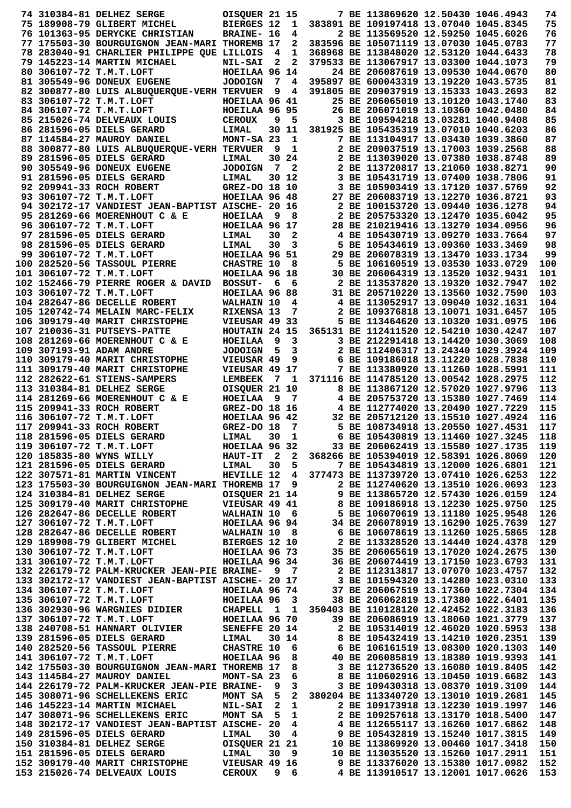|  | 74 310384-81 DELHEZ SERGE                                                                                                                                                                                                                    | OISQUER 21 15                      |                         |                         |                 | 7 BE 113869620 12.50430 1046.4943                                      |  | 74         |
|--|----------------------------------------------------------------------------------------------------------------------------------------------------------------------------------------------------------------------------------------------|------------------------------------|-------------------------|-------------------------|-----------------|------------------------------------------------------------------------|--|------------|
|  | 75 189908-79 GLIBERT MICHEL                                                                                                                                                                                                                  | <b>BIERGES 12</b>                  |                         | 1                       |                 | 383891 BE 109197418 13.07040 1045.8345                                 |  | 75         |
|  | 76 101363-95 DERYCKE CHRISTIAN                                                                                                                                                                                                               | <b>BRAINE- 16</b>                  |                         | 4                       |                 | 2 BE 113569520 12.59250 1045.6026                                      |  | 76         |
|  | 77 175503-30 BOURGUIGNON JEAN-MARI THOREMB 17                                                                                                                                                                                                |                                    |                         | 2                       |                 | 383596 BE 105071119 13.07030 1045.0783                                 |  | 77         |
|  | 78 283040-91 CHARLIER PHILIPPE QUE LILLOIS                                                                                                                                                                                                   |                                    | $\overline{\mathbf{4}}$ | $\mathbf{1}$            |                 | 368968 BE 113848020 12.53120 1044.6433                                 |  | 78         |
|  | 79 145223-14 MARTIN MICHAEL                                                                                                                                                                                                                  | <b>NIL-SAI</b>                     | $\mathbf{2}$            | $\overline{2}$          |                 | 379533 BE 113067917 13.03300 1044.1073                                 |  | 79         |
|  | 80 306107-72 T.M.T.LOFT                                                                                                                                                                                                                      | HOEILAA 96 14                      |                         |                         |                 | 24 BE 206087619 13.09530 1044.0670                                     |  | 80         |
|  | <b>81 305549-96 DONEUX EUGENE</b>                                                                                                                                                                                                            | <b>JODOIGN</b>                     |                         | 74                      |                 | 395897 BE 600043319 13.19220 1043.5735                                 |  | 81         |
|  | 82 300877-80 LUIS ALBUQUERQUE-VERH TERVUER                                                                                                                                                                                                   |                                    | 9                       | 4                       |                 | 391805 BE 209037919 13.15333 1043.2693                                 |  | 82         |
|  | 83 306107-72 T.M.T.LOFT                                                                                                                                                                                                                      | HOEILAA 96 41                      |                         |                         |                 | 25 BE 206065019 13.10120 1043.1740                                     |  | 83         |
|  | 84 306107-72 T.M.T.LOFT                                                                                                                                                                                                                      | HOEILAA 96 95                      |                         |                         |                 | 26 BE 206071019 13.10360 1042.0480                                     |  | 84         |
|  | 85 215026-74 DELVEAUX LOUIS                                                                                                                                                                                                                  | <b>CEROUX</b>                      | 9                       | - 5                     |                 | 3 BE 109594218 13.03281 1040.9408                                      |  | 85         |
|  | 86 281596-05 DIELS GERARD                                                                                                                                                                                                                    | LIMAL                              |                         | 30 11                   |                 | 381925 BE 105435319 13.07010 1040.6203                                 |  | 86         |
|  | 87 114584-27 MAUROY DANIEL<br>88 300877-80 LUIS ALBUQUERQUE-VERH TERVUER                                                                                                                                                                     | MONT-SA 23                         | - 9                     | $\mathbf{1}$<br>1       |                 | 7 BE 113104917 13.03430 1039.3860<br>2 BE 209037519 13.17003 1039.2568 |  | 87<br>88   |
|  | 89 281596-05 DIELS GERARD                                                                                                                                                                                                                    | LIMAL                              |                         | 30 24                   |                 | 2 BE 113039020 13.07380 1038.8748                                      |  | 89         |
|  | 90 305549-96 DONEUX EUGENE                                                                                                                                                                                                                   | <b>JODOIGN</b>                     | $\overline{7}$          | $\mathbf{2}$            |                 | 2 BE 113720817 13.21060 1038.8271                                      |  | 90         |
|  | 91 281596-05 DIELS GERARD                                                                                                                                                                                                                    | LIMAL                              |                         | 30 12                   |                 | 3 BE 105431719 13.07400 1038.7806                                      |  | 91         |
|  | 92 209941-33 ROCH ROBERT                                                                                                                                                                                                                     | <b>GREZ-DO 18 10</b>               |                         |                         |                 | 3 BE 105903419 13.17120 1037.5769                                      |  | 92         |
|  | 93 306107-72 T.M.T.LOFT                                                                                                                                                                                                                      | HOEILAA 96 48                      |                         |                         |                 | 27 BE 206083719 13.12270 1036.8721                                     |  | 93         |
|  | 94 302172-17 VANDIEST JEAN-BAPTIST AISCHE- 20 16                                                                                                                                                                                             |                                    |                         |                         |                 | 2 BE 100153720 13.09440 1036.1278                                      |  | 94         |
|  | 95 281269-66 MOERENHOUT C & E                                                                                                                                                                                                                | <b>HOEILAA</b>                     | 9                       | 8                       |                 | 2 BE 205753320 13.12470 1035.6042                                      |  | 95         |
|  | 96 306107-72 T.M.T.LOFT                                                                                                                                                                                                                      | HOEILAA 96 17                      |                         |                         |                 | 28 BE 210219416 13.13270 1034.0956                                     |  | 96         |
|  | 97 281596-05 DIELS GERARD                                                                                                                                                                                                                    | LIMAL                              | 30                      | 2                       |                 | 4 BE 105430719 13.09270 1033.7664                                      |  | 97         |
|  | 98 281596-05 DIELS GERARD                                                                                                                                                                                                                    | LIMAL                              | 30                      | 3                       |                 | 5 BE 105434619 13.09360 1033.3469                                      |  | 98         |
|  | 99 306107-72 T.M.T.LOFT                                                                                                                                                                                                                      | HOEILAA 96 51                      |                         |                         |                 | 29 BE 206078319 13.13470 1033.1734                                     |  | 99         |
|  | 100 282520-56 TASSOUL PIERRE                                                                                                                                                                                                                 | <b>CHASTRE 10</b>                  |                         | 8                       |                 | 5 BE 106160519 13.03530 1033.0729                                      |  | 100        |
|  | 101 306107-72 T.M.T.LOFT                                                                                                                                                                                                                     | HOEILAA 96 18                      |                         |                         |                 | 30 BE 206064319 13.13520 1032.9431                                     |  | 101        |
|  | 102 152466-79 PIERRE ROGER & DAVID BOSSUT-                                                                                                                                                                                                   |                                    | - 6                     | 6                       |                 | 2 BE 113537820 13.19320 1032.7947                                      |  | 102        |
|  | 103 306107-72 T.M.T.LOFT                                                                                                                                                                                                                     | HOEILAA 96 88                      |                         |                         |                 | 31 BE 205710220 13.13560 1032.7590                                     |  | 103        |
|  | 104 282647-86 DECELLE ROBERT                                                                                                                                                                                                                 | WALHAIN 10                         |                         | 4                       |                 | 4 BE 113052917 13.09040 1032.1631                                      |  | 104        |
|  | 105 120742-74 MELAIN MARC-FELIX                                                                                                                                                                                                              | RIXENSA 13                         |                         | 7                       |                 | 2 BE 109376818 13.10071 1031.6457                                      |  | 105        |
|  | 106 309179-40 MARIT CHRISTOPHE                                                                                                                                                                                                               | VIEUSAR 49 33                      |                         |                         |                 | 5 BE 113464620 13.10320 1031.0975                                      |  | 106        |
|  | 107 210036-31 PUTSEYS-PATTE                                                                                                                                                                                                                  | HOUTAIN 24 15                      |                         |                         |                 | 365131 BE 112411520 12.54210 1030.4247                                 |  | 107        |
|  | 108 281269-66 MOERENHOUT C & E                                                                                                                                                                                                               | HOEILAA                            | - 9<br>- 5              | 3                       |                 | 3 BE 212291418 13.14420 1030.3069                                      |  | 108        |
|  | 109 307193-91 ADAM ANDRE<br>110 309179-40 MARIT CHRISTOPHE                                                                                                                                                                                   | <b>JODOIGN</b><br>VIEUSAR 49       |                         | 3<br>9                  |                 | 2 BE 112406317 13.24340 1029.3924<br>6 BE 109186018 13.11220 1028.7838 |  | 109<br>110 |
|  | 111 309179-40 MARIT CHRISTOPHE                                                                                                                                                                                                               | VIEUSAR 49 17                      |                         |                         |                 | 7 BE 113380920 13.11260 1028.5991                                      |  | 111        |
|  | 112 282622-61 STIENS-SAMPERS                                                                                                                                                                                                                 | LEMBEEK 7 1                        |                         |                         |                 | 371116 BE 114785120 13.00542 1028.2975                                 |  | 112        |
|  | 113 310384-81 DELHEZ SERGE                                                                                                                                                                                                                   | OISQUER 21 10                      |                         |                         |                 | 8 BE 113867120 12.57020 1027.9796                                      |  | 113        |
|  | 114 281269-66 MOERENHOUT C & E                                                                                                                                                                                                               | HOEILAA                            | - 9                     | $\overline{7}$          |                 | 4 BE 205753720 13.15380 1027.7469                                      |  | 114        |
|  | 115 209941-33 ROCH ROBERT                                                                                                                                                                                                                    | GREZ-DO 18 16                      |                         |                         |                 | 4 BE 112774020 13.20490 1027.7229                                      |  | 115        |
|  | 116 306107-72 T.M.T.LOFT                                                                                                                                                                                                                     | HOEILAA 96 42                      |                         |                         |                 | 32 BE 205712120 13.15510 1027.4924                                     |  | 116        |
|  | 117 209941-33 ROCH ROBERT                                                                                                                                                                                                                    | GREZ-DO 18                         |                         | $\overline{7}$          |                 | 5 BE 108734918 13.20550 1027.4531                                      |  | 117        |
|  | 118 281596-05 DIELS GERARD                                                                                                                                                                                                                   | LIMAL 30 1                         |                         |                         |                 | 6 BE 105430819 13.11460 1027.3245                                      |  | 118        |
|  | 119 306107-72 T.M.T.LOFT HOEILAA 96 32 33 BE 206062419 13.15580 1027.1735<br>120 185835-80 WYNS WILLY HAUT-IT 2 2 368266 BE 105394019 12.58391 1026.8069                                                                                     |                                    |                         |                         |                 |                                                                        |  | 119        |
|  |                                                                                                                                                                                                                                              |                                    |                         |                         |                 |                                                                        |  | 120        |
|  | 121 281596-05 DIELS GERARD LIMAL                                                                                                                                                                                                             |                                    |                         | 30 <sub>5</sub>         |                 | 7 BE 105434819 13.12000 1026.6801                                      |  | 121        |
|  | 122 307571-81 MARTIN VINCENT HEVILLE 12 4 377473 BE 113739720 13.07410 1026.6253                                                                                                                                                             |                                    |                         |                         |                 |                                                                        |  | 122        |
|  | 123 175503-30 BOURGUIGNON JEAN-MARI THOREMB 17 9                                                                                                                                                                                             |                                    |                         |                         |                 | 2 BE 112740620 13.13510 1026.0693                                      |  | 123        |
|  | 123 175503-30 BOURGUIGNON JEAN-MARI THOREMB 17 9 2 BE 112740620 13.13510 1026.0693<br>124 310384-81 DELHEZ SERGE OISQUER 21 14 9 BE 113865720 12.57430 1025.9750<br>125 309179-40 MARIT CHRISTOPHE VIEUSAR 49 41 8 BE 109186918 1            |                                    |                         |                         |                 |                                                                        |  | 124        |
|  |                                                                                                                                                                                                                                              |                                    |                         |                         |                 |                                                                        |  | 125        |
|  |                                                                                                                                                                                                                                              |                                    |                         |                         |                 |                                                                        |  | 126        |
|  |                                                                                                                                                                                                                                              |                                    |                         |                         |                 |                                                                        |  | 127        |
|  |                                                                                                                                                                                                                                              |                                    |                         |                         |                 |                                                                        |  | 128        |
|  |                                                                                                                                                                                                                                              |                                    |                         |                         |                 |                                                                        |  | 129        |
|  |                                                                                                                                                                                                                                              |                                    |                         |                         |                 |                                                                        |  | 130        |
|  |                                                                                                                                                                                                                                              |                                    |                         |                         |                 |                                                                        |  | 131        |
|  |                                                                                                                                                                                                                                              |                                    |                         |                         |                 |                                                                        |  | 132<br>133 |
|  |                                                                                                                                                                                                                                              |                                    |                         |                         |                 |                                                                        |  | 134        |
|  |                                                                                                                                                                                                                                              |                                    |                         |                         |                 |                                                                        |  | 135        |
|  |                                                                                                                                                                                                                                              |                                    |                         |                         |                 |                                                                        |  | 136        |
|  |                                                                                                                                                                                                                                              |                                    |                         |                         |                 |                                                                        |  | 137        |
|  |                                                                                                                                                                                                                                              |                                    |                         |                         |                 |                                                                        |  | 138        |
|  | 134 306107-72 T.M.T.LOFT<br>135 306107-72 T.M.T.LOFT<br>136 302930-96 WARGNIES DIDIER<br>136 302930-96 WARGNIES DIDIER<br>137 306107-72 T.M.T.LOFT<br>137 306107-72 T.M.T.LOFT<br>138 240708-51 HANNART OLIVIER<br>138 240708-51 HANNART OLI |                                    |                         |                         |                 |                                                                        |  | 139        |
|  |                                                                                                                                                                                                                                              |                                    |                         |                         |                 |                                                                        |  | 140        |
|  | 140 282520-56 TASSOUL PIERRE CHASTRE 10 6 6 BE 106161519 13.08300 1020.1303<br>141 306107-72 T.M.T.LOFT HOEILAA 96 8 40 BE 206085819 13.18380 1019.9393<br>142 175503-30 BOURGUIGNON JEAN-MARI THOREMB 17 8 3 BE 112736520 13.16080          |                                    |                         |                         |                 |                                                                        |  | 141        |
|  |                                                                                                                                                                                                                                              |                                    |                         |                         |                 |                                                                        |  | 142        |
|  | 143 114584-27 MAUROY DANIEL                                                                                                                                                                                                                  | MONT-SA 23                         |                         |                         | $6\overline{)}$ | 8 BE 110602916 13.10450 1019.6682                                      |  | 143        |
|  | 144 226179-72 PALM-KRUCKER JEAN-PIE BRAINE-                                                                                                                                                                                                  |                                    | و _                     | $\overline{\mathbf{3}}$ |                 | 3 BE 109430318 13.08370 1019.3109                                      |  | 144        |
|  | 145 308071-96 SCHELLEKENS ERIC                                                                                                                                                                                                               |                                    |                         |                         |                 | MONT SA 5 2 380204 BE 113340720 13.13010 1019.2681                     |  | 145        |
|  | 146 145223-14 MARTIN MICHAEL                                                                                                                                                                                                                 | <b>NIL-SAI 2 1<br/>MONT SA 5 1</b> |                         |                         |                 | 2 BE 109173918 13.12230 1019.1997                                      |  | 146        |
|  | 147 308071-96 SCHELLEKENS ERIC                                                                                                                                                                                                               |                                    |                         |                         |                 | 2 BE 109257618 13.13170 1018.5400                                      |  | 147        |
|  |                                                                                                                                                                                                                                              |                                    |                         |                         |                 |                                                                        |  | 148        |
|  |                                                                                                                                                                                                                                              |                                    |                         |                         |                 |                                                                        |  | 149        |
|  | 147 308071-96 SCREELERENS ERIC MONT SA 3 1 2 BE 109237616 13.13170 1018.3400<br>148 302172-17 VANDIEST JEAN-BAPTIST AISCHE- 20 4 4 BE 112655117 13.16260 1017.6862<br>149 281596-05 DIELS GERARD LIMAL 30 4 9 BE 105432819 13.15240          |                                    |                         |                         |                 |                                                                        |  | 150        |
|  |                                                                                                                                                                                                                                              |                                    |                         |                         |                 |                                                                        |  | 151        |
|  | 152 309179-40 MARIT CHRISTOPHE VIEUSAR 49 16<br>153 215026-74 DELVEAUX LOUIS CEROUX 9 6                                                                                                                                                      |                                    |                         |                         |                 | 9 BE 113376020 13.15380 1017.0982                                      |  | 152        |
|  |                                                                                                                                                                                                                                              |                                    |                         |                         |                 | 4 BE 113910517 13.12001 1017.0626                                      |  | 153        |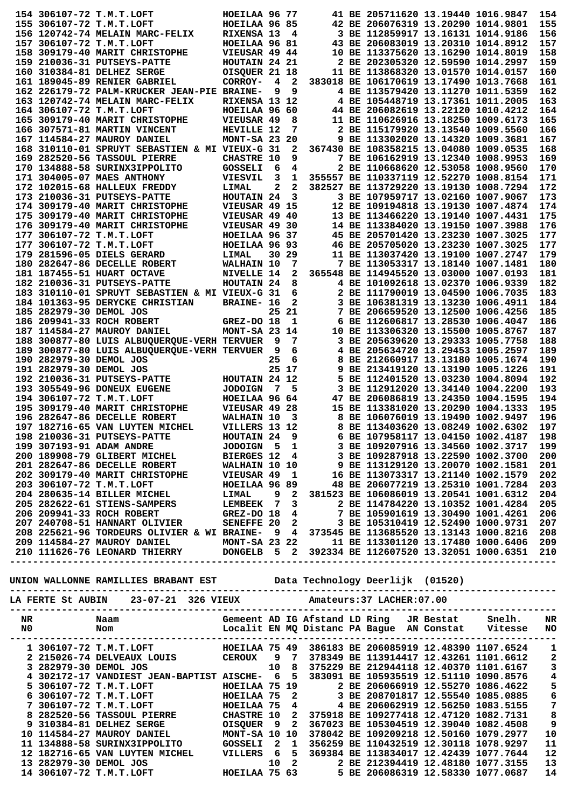|             |                         | 154 306107-72 T.M.T.LOFT                                                                                                                                                                                                              | HOEILAA 96 77     |                |       |  | 41 BE 205711620 13.19440 1016.9847     |                   | 154                                   |
|-------------|-------------------------|---------------------------------------------------------------------------------------------------------------------------------------------------------------------------------------------------------------------------------------|-------------------|----------------|-------|--|----------------------------------------|-------------------|---------------------------------------|
|             |                         | 155 306107-72 T.M.T.LOFT                                                                                                                                                                                                              | HOEILAA 96 85     |                |       |  | 42 BE 206076319 13.20290 1014.9801     |                   | 155                                   |
|             |                         | 156 120742-74 MELAIN MARC-FELIX                                                                                                                                                                                                       | RIXENSA 13        |                | 4     |  | 3 BE 112859917 13.16131 1014.9186      |                   | 156                                   |
|             |                         | 157 306107-72 T.M.T.LOFT                                                                                                                                                                                                              | HOEILAA 96 81     |                |       |  | 43 BE 206083019 13.20310 1014.8912     |                   | 157                                   |
|             |                         | 158 309179-40 MARIT CHRISTOPHE                                                                                                                                                                                                        | VIEUSAR 49 44     |                |       |  | 10 BE 113375620 13.16290 1014.8019     |                   | 158                                   |
|             |                         | 159 210036-31 PUTSEYS-PATTE                                                                                                                                                                                                           | HOUTAIN 24 21     |                |       |  | 2 BE 202305320 12.59590 1014.2997      |                   | 159                                   |
|             |                         | 160 310384-81 DELHEZ SERGE                                                                                                                                                                                                            | OISQUER 21 18     |                |       |  | 11 BE 113868320 13.01570 1014.0157     |                   | 160                                   |
|             |                         | 161 189045-89 RENIER GABRIEL                                                                                                                                                                                                          | CORROY-           | 4              | 2     |  | 383018 BE 106170619 13.17490 1013.7668 |                   | 161                                   |
|             |                         | 162 226179-72 PALM-KRUCKER JEAN-PIE BRAINE-                                                                                                                                                                                           |                   | 9              | 9     |  | 4 BE 113579420 13.11270 1011.5359      |                   | 162                                   |
|             |                         | 163 120742-74 MELAIN MARC-FELIX                                                                                                                                                                                                       | RIXENSA 13 12     |                |       |  | 4 BE 105448719 13.17361 1011.2005      |                   | 163                                   |
|             |                         | 164 306107-72 T.M.T.LOFT                                                                                                                                                                                                              | HOEILAA 96 60     |                |       |  | 44 BE 206082619 13.22120 1010.4212     |                   | 164                                   |
|             |                         | 165 309179-40 MARIT CHRISTOPHE                                                                                                                                                                                                        | VIEUSAR 49        |                | 8     |  | 11 BE 110626916 13.18250 1009.6173     |                   | 165                                   |
|             |                         | 166 307571-81 MARTIN VINCENT                                                                                                                                                                                                          | HEVILLE 12        |                | 7     |  | 2 BE 115179920 13.13540 1009.5560      |                   | 166                                   |
|             |                         | 167 114584-27 MAUROY DANIEL                                                                                                                                                                                                           | $MONT-SA$ 23 20   |                |       |  | 9 BE 113302020 13.14320 1009.3681      |                   | 167                                   |
|             |                         | <b>168 310110-01 SPRUYT SEBASTIEN &amp; MI VIEUX-G 31</b>                                                                                                                                                                             |                   |                | 2     |  | 367430 BE 108358215 13.04080 1009.0535 |                   | 168                                   |
|             |                         | 169 282520-56 TASSOUL PIERRE                                                                                                                                                                                                          | <b>CHASTRE 10</b> |                | 9     |  | 7 BE 106162919 13.12340 1008.9953      |                   | 169                                   |
|             |                         | 170 134888-58 SURINX3IPPOLITO                                                                                                                                                                                                         | GOSSELI           | 6              | 4     |  | 2 BE 110668620 12.53058 1008.9560      |                   | 170                                   |
|             |                         | 171 304005-07 MAES ANTHONY                                                                                                                                                                                                            | <b>VIESVIL</b>    | 3              | 1     |  | 355557 BE 110337119 12.52270 1008.8154 |                   | 171                                   |
|             |                         | 172 102015-68 HALLEUX FREDDY                                                                                                                                                                                                          | LIMAL             | 2              | 2     |  | 382527 BE 113729220 13.19130 1008.7294 |                   | 172                                   |
|             |                         | 173 210036-31 PUTSEYS-PATTE                                                                                                                                                                                                           | HOUTAIN 24        |                | 3     |  | 3 BE 107959717 13.02160 1007.9067      |                   | 173                                   |
|             |                         | 174 309179-40 MARIT CHRISTOPHE                                                                                                                                                                                                        | VIEUSAR 49 15     |                |       |  | 12 BE 109194818 13.19130 1007.4874     |                   | 174                                   |
|             |                         | 175 309179-40 MARIT CHRISTOPHE                                                                                                                                                                                                        | VIEUSAR 49 40     |                |       |  | 13 BE 113466220 13.19140 1007.4431     |                   | 175                                   |
|             |                         | 176 309179-40 MARIT CHRISTOPHE                                                                                                                                                                                                        | VIEUSAR 49 30     |                |       |  | 14 BE 113384020 13.19150 1007.3988     |                   | 176                                   |
|             |                         | 177 306107-72 T.M.T.LOFT                                                                                                                                                                                                              | HOEILAA 96 37     |                |       |  | 45 BE 205701420 13.23230 1007.3025     |                   | 177                                   |
|             |                         | 177 306107-72 T.M.T.LOFT                                                                                                                                                                                                              | HOEILAA 96 93     |                |       |  | 46 BE 205705020 13.23230 1007.3025     |                   | 177                                   |
|             |                         | 179 281596-05 DIELS GERARD                                                                                                                                                                                                            | LIMAL             |                | 30 29 |  | 11 BE 113037420 13.19100 1007.2747     |                   | 179                                   |
|             |                         | 180 282647-86 DECELLE ROBERT                                                                                                                                                                                                          | WALHAIN 10        |                | 7     |  | 7 BE 113053317 13.18140 1007.1481      |                   | 180                                   |
|             |                         | 181 187455-51 HUART OCTAVE                                                                                                                                                                                                            | NIVELLE 14        |                | 2     |  | 365548 BE 114945520 13.03000 1007.0193 |                   | 181                                   |
|             |                         | 182 210036-31 PUTSEYS-PATTE                                                                                                                                                                                                           | HOUTAIN 24        |                | 8     |  | 4 BE 101092618 13.02370 1006.9339      |                   | 182                                   |
|             |                         | 183 310110-01 SPRUYT SEBASTIEN & MI VIEUX-G 31                                                                                                                                                                                        |                   |                | 6     |  | 2 BE 111790019 13.04590 1006.7035      |                   | 183                                   |
|             |                         | 184 101363-95 DERYCKE CHRISTIAN                                                                                                                                                                                                       | <b>BRAINE- 16</b> |                | 2     |  | 3 BE 106381319 13.13230 1006.4911      |                   | 184                                   |
|             | 185 282979-30 DEMOL JOS |                                                                                                                                                                                                                                       |                   |                | 25 21 |  | 7 BE 206659520 13.12500 1006.4256      |                   | 185                                   |
|             |                         | 186 209941-33 ROCH ROBERT                                                                                                                                                                                                             | GREZ-DO 18        |                | 1     |  | 6 BE 112606817 13.28530 1006.4047      |                   | 186                                   |
|             |                         | 187 114584-27 MAUROY DANIEL                                                                                                                                                                                                           | MONT-SA 23 14     |                |       |  | 10 BE 113306320 13.15500 1005.8767     |                   | 187                                   |
|             |                         | 188 300877-80 LUIS ALBUQUERQUE-VERH TERVUER                                                                                                                                                                                           |                   | 9              | 7     |  | 3 BE 205639620 13.29333 1005.7758      |                   | 188                                   |
|             |                         | 189 300877-80 LUIS ALBUQUERQUE-VERH TERVUER                                                                                                                                                                                           |                   | 9              | 6     |  | 4 BE 205634720 13.29453 1005.2597      |                   | 189                                   |
|             | 190 282979-30 DEMOL JOS |                                                                                                                                                                                                                                       |                   | 25             | 6     |  | 8 BE 212660917 13.13180 1005.1674      |                   | 190                                   |
|             | 191 282979-30 DEMOL JOS |                                                                                                                                                                                                                                       |                   |                | 25 17 |  | 9 BE 213419120 13.13190 1005.1226      |                   | 191                                   |
|             |                         | 192 210036-31 PUTSEYS-PATTE                                                                                                                                                                                                           | HOUTAIN 24 12     |                |       |  | 5 BE 112401520 13.03230 1004.8094      |                   | 192                                   |
|             |                         | 193 305549-96 DONEUX EUGENE                                                                                                                                                                                                           | <b>JODOIGN</b>    | $\overline{7}$ | 5     |  | 3 BE 112912020 13.34140 1004.2200      |                   | 193                                   |
|             |                         |                                                                                                                                                                                                                                       | HOEILAA 96 64     |                |       |  | 47 BE 206086819 13.24350 1004.1595     |                   | 194                                   |
|             |                         | 194 306107-72 T.M.T.LOFT                                                                                                                                                                                                              |                   |                |       |  |                                        |                   |                                       |
|             |                         | 195 309179-40 MARIT CHRISTOPHE                                                                                                                                                                                                        | VIEUSAR 49 28     |                |       |  | 15 BE 113381020 13.20290 1004.1333     |                   | 195                                   |
|             |                         | 196 282647-86 DECELLE ROBERT                                                                                                                                                                                                          | WALHAIN 10        |                | 3     |  | 8 BE 106076019 13.19490 1002.9497      |                   | 196                                   |
|             |                         | 197 182716-65 VAN LUYTEN MICHEL                                                                                                                                                                                                       | VILLERS 13 12     |                |       |  | 8 BE 113403620 13.08249 1002.6302      |                   | 197                                   |
|             |                         | 198 210036-31 PUTSEYS-PATTE                                                                                                                                                                                                           | HOUTAIN 24        |                | 9     |  | 6 BE 107958117 13.04150 1002.4187      |                   | 198                                   |
|             |                         |                                                                                                                                                                                                                                       |                   |                |       |  |                                        |                   | 199                                   |
|             |                         |                                                                                                                                                                                                                                       |                   |                |       |  |                                        |                   | 200                                   |
|             |                         | 198 210036-31 PUTSEYS-PATTE<br>199 307193-91 ADM ANDRE<br>200 189908-79 GLIBERT MICHEL JODOIGN 5 1 3 BE 109267916 13.34560 1002.3710<br>201 282647-86 DECELLE ROBERT WALHAIN 10 10 9 BE 113129120 13.20070 1002.3710<br>202 309179-40 |                   |                |       |  |                                        |                   | 201                                   |
|             |                         |                                                                                                                                                                                                                                       |                   |                |       |  |                                        |                   | 202                                   |
|             |                         |                                                                                                                                                                                                                                       |                   |                |       |  |                                        |                   | 203                                   |
|             |                         |                                                                                                                                                                                                                                       |                   |                |       |  |                                        |                   | 204                                   |
|             |                         |                                                                                                                                                                                                                                       |                   |                |       |  |                                        |                   | 205                                   |
|             |                         |                                                                                                                                                                                                                                       |                   |                |       |  |                                        |                   | 206                                   |
|             |                         |                                                                                                                                                                                                                                       |                   |                |       |  |                                        |                   | 207                                   |
|             |                         |                                                                                                                                                                                                                                       |                   |                |       |  |                                        |                   | 208                                   |
|             |                         |                                                                                                                                                                                                                                       |                   |                |       |  |                                        |                   |                                       |
|             |                         | 209 114584-27 MAUROY DANIEL MONT-SA 23 22 11 BE 113301120 13.17480 1000.6406 209<br>210 111626-76 LEONARD THIERRY DONGELB 5 2 392334 BE 112607520 13.32051 1000.6351 210                                                              |                   |                |       |  |                                        |                   |                                       |
|             |                         |                                                                                                                                                                                                                                       |                   |                |       |  |                                        | ----------------- |                                       |
|             |                         |                                                                                                                                                                                                                                       |                   |                |       |  |                                        |                   |                                       |
|             |                         |                                                                                                                                                                                                                                       |                   |                |       |  |                                        |                   |                                       |
|             |                         |                                                                                                                                                                                                                                       |                   |                |       |  |                                        |                   |                                       |
|             |                         | LA FERTE St AUBIN 23-07-21 326 VIEUX Amateurs:37 LACHER:07.00                                                                                                                                                                         |                   |                |       |  |                                        |                   |                                       |
|             |                         |                                                                                                                                                                                                                                       |                   |                |       |  |                                        |                   |                                       |
| $_{\rm NR}$ |                         |                                                                                                                                                                                                                                       |                   |                |       |  |                                        |                   |                                       |
|             | NO <sub>1</sub>         |                                                                                                                                                                                                                                       |                   |                |       |  |                                        |                   |                                       |
|             |                         |                                                                                                                                                                                                                                       |                   |                |       |  |                                        |                   |                                       |
|             |                         |                                                                                                                                                                                                                                       |                   |                |       |  |                                        |                   |                                       |
|             |                         | 1 306107-72 T.M.T.LOFT<br>2 215026-74 DELVEAUX LOUIS (CEROUX 9 7 378349 BE 113914417 12.43261 1101.6612 2<br>3 282979-30 DEMOL JOS 10 8 375229 BE 212944118 12.40370 1101.6167 3<br>4 302172-17 VANDIEST JEAN-BAPTIST AISCHE- 6 5 38  |                   |                |       |  |                                        |                   |                                       |
|             |                         |                                                                                                                                                                                                                                       |                   |                |       |  |                                        |                   |                                       |
|             |                         | 4 302172-17 VANDIEST JEAN-BAPTIST AISCHE- 6 5 383091 BE 105935519 12.51110 1090.8576                                                                                                                                                  |                   |                |       |  |                                        |                   | $\overline{\textbf{4}}$               |
|             |                         |                                                                                                                                                                                                                                       |                   |                |       |  |                                        |                   |                                       |
|             |                         |                                                                                                                                                                                                                                       |                   |                |       |  |                                        |                   | $\frac{5}{6}$                         |
|             |                         |                                                                                                                                                                                                                                       |                   |                |       |  |                                        |                   |                                       |
|             |                         |                                                                                                                                                                                                                                       |                   |                |       |  |                                        |                   | $\begin{array}{c} 7 \\ 8 \end{array}$ |
|             |                         |                                                                                                                                                                                                                                       |                   |                |       |  |                                        |                   |                                       |
|             |                         |                                                                                                                                                                                                                                       |                   |                |       |  |                                        |                   | $\boldsymbol{9}$                      |
|             |                         |                                                                                                                                                                                                                                       |                   |                |       |  |                                        |                   | 10                                    |
|             |                         |                                                                                                                                                                                                                                       |                   |                |       |  |                                        |                   |                                       |
|             |                         |                                                                                                                                                                                                                                       |                   |                |       |  |                                        |                   | 11                                    |
|             |                         |                                                                                                                                                                                                                                       |                   |                |       |  |                                        |                   | 12                                    |
|             |                         | 4 302172-17 VANDIEST JEAN-BAPTIST AISCHE- 6 5 383091 BE 105935519 12.51110 1090.8576<br>5 306107-72 T.M.T.LOFT HOEILAA 75 2 BE 206066319 12.55540 1086.4622<br>7 306107-72 T.M.T.LOFT HOEILAA 75 4 3 BE 2060662919 12.55540 1086.4    |                   |                |       |  |                                        |                   | 13<br>14                              |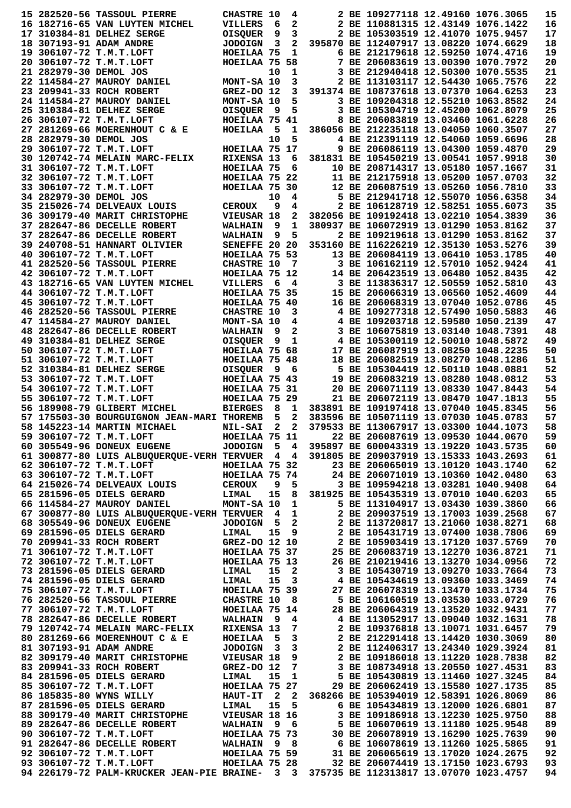| 15 282520-56 TASSOUL PIERRE                                                                                                                                                                                                                  | <b>CHASTRE 10</b> |              | 4              |                                                                                       | 2 BE 109277118 12.49160 1076.3065      |  | 15       |
|----------------------------------------------------------------------------------------------------------------------------------------------------------------------------------------------------------------------------------------------|-------------------|--------------|----------------|---------------------------------------------------------------------------------------|----------------------------------------|--|----------|
| 16 182716-65 VAN LUYTEN MICHEL                                                                                                                                                                                                               | VILLERS           | - 6          | $\mathbf{2}$   |                                                                                       | 2 BE 110881315 12.43149 1076.1422      |  | 16       |
| 17 310384-81 DELHEZ SERGE                                                                                                                                                                                                                    | <b>OISQUER</b>    | 9            | 3              |                                                                                       | 2 BE 105303519 12.41070 1075.9457      |  | 17       |
| 18 307193-91 ADAM ANDRE                                                                                                                                                                                                                      | <b>JODOIGN</b>    | 3            | $\mathbf{2}$   |                                                                                       | 395870 BE 112407917 13.08220 1074.6629 |  | 18       |
|                                                                                                                                                                                                                                              |                   |              |                |                                                                                       |                                        |  |          |
| 19 306107-72 T.M.T.LOFT                                                                                                                                                                                                                      | HOEILAA 75        |              | 1              |                                                                                       | 6 BE 212179618 12.59250 1074.4716      |  | 19       |
| 20 306107-72 T.M.T.LOFT                                                                                                                                                                                                                      | HOEILAA 75 58     |              |                |                                                                                       | 7 BE 206083619 13.00390 1070.7972      |  | 20       |
| 21 282979-30 DEMOL JOS                                                                                                                                                                                                                       |                   | 10           | 1              |                                                                                       | 3 BE 212940418 12.50300 1070.5535      |  | 21       |
| 22 114584-27 MAUROY DANIEL                                                                                                                                                                                                                   | MONT-SA 10        |              | 3              |                                                                                       | 2 BE 113103117 12.54430 1065.7576      |  | 22       |
| 23 209941-33 ROCH ROBERT                                                                                                                                                                                                                     | $GREZ-DO$ 12      |              | $\mathbf{3}$   |                                                                                       | 391374 BE 108737618 13.07370 1064.6253 |  | 23       |
| 24 114584-27 MAUROY DANIEL                                                                                                                                                                                                                   | MONT-SA 10        |              | 5              |                                                                                       | 3 BE 109204318 12.55210 1063.8582      |  | 24       |
| 25 310384-81 DELHEZ SERGE                                                                                                                                                                                                                    | <b>OISQUER</b>    | - 9          | 5              |                                                                                       | 3 BE 105304719 12.45200 1062.8079      |  | 25       |
| 26 306107-72 T.M.T.LOFT                                                                                                                                                                                                                      | HOEILAA 75 41     |              |                |                                                                                       | 8 BE 206083819 13.03460 1061.6228      |  | 26       |
| 27 281269-66 MOERENHOUT C & E                                                                                                                                                                                                                | HOEILAA           | - 5          | - 1            | 386056 BE 212235118 13.04050 1060.3507                                                |                                        |  | 27       |
| 28 282979-30 DEMOL JOS                                                                                                                                                                                                                       |                   | 10           | 5              |                                                                                       | 4 BE 212391119 12.54060 1059.6696      |  | 28       |
| 29 306107-72 T.M.T.LOFT                                                                                                                                                                                                                      | HOEILAA 75 17     |              |                |                                                                                       | 9 BE 206086119 13.04300 1059.4870      |  | 29       |
|                                                                                                                                                                                                                                              | RIXENSA 13        |              | 6              |                                                                                       |                                        |  | 30       |
| 30 120742-74 MELAIN MARC-FELIX                                                                                                                                                                                                               |                   |              |                | 381831 BE 105450219 13.00541 1057.9918                                                |                                        |  |          |
| 31 306107-72 T.M.T.LOFT                                                                                                                                                                                                                      | HOEILAA 75        |              | - 6            |                                                                                       | 10 BE 208714317 13.05180 1057.1667     |  | 31       |
| 32 306107-72 T.M.T.LOFT                                                                                                                                                                                                                      | HOEILAA 75 22     |              |                |                                                                                       | 11 BE 212175918 13.05200 1057.0703     |  | 32       |
| 33 306107-72 T.M.T.LOFT                                                                                                                                                                                                                      | HOEILAA 75 30     |              |                |                                                                                       | 12 BE 206087519 13.05260 1056.7810     |  | 33       |
| 34 282979-30 DEMOL JOS                                                                                                                                                                                                                       |                   | 10           | 4              |                                                                                       | 5 BE 212941718 12.55070 1056.6358      |  | 34       |
| 35 215026-74 DELVEAUX LOUIS                                                                                                                                                                                                                  | <b>CEROUX</b>     | 9            | 4              |                                                                                       | 2 BE 106128719 12.58251 1055.6073      |  | 35       |
| 36 309179-40 MARIT CHRISTOPHE                                                                                                                                                                                                                | VIEUSAR 18        |              | 2              |                                                                                       | 382056 BE 109192418 13.02210 1054.3839 |  | 36       |
| 37 282647-86 DECELLE ROBERT                                                                                                                                                                                                                  | <b>WALHAIN</b>    | - 9          | $\mathbf 1$    |                                                                                       | 380937 BE 106072919 13.01290 1053.8162 |  | 37       |
| 37 282647-86 DECELLE ROBERT                                                                                                                                                                                                                  | <b>WALHAIN</b>    | - 9          | 5              |                                                                                       | 2 BE 109219618 13.01290 1053.8162      |  | 37       |
| 39 240708-51 HANNART OLIVIER                                                                                                                                                                                                                 | SENEFFE 20 20     |              |                |                                                                                       | 353160 BE 116226219 12.35130 1053.5276 |  | 39       |
| 40 306107-72 T.M.T.LOFT                                                                                                                                                                                                                      | HOEILAA 75 53     |              |                |                                                                                       | 13 BE 206084119 13.06410 1053.1785     |  | 40       |
|                                                                                                                                                                                                                                              |                   |              | $\overline{7}$ |                                                                                       | 3 BE 106162119 12.57010 1052.9424      |  | 41       |
| 41 282520-56 TASSOUL PIERRE                                                                                                                                                                                                                  | <b>CHASTRE 10</b> |              |                |                                                                                       |                                        |  |          |
| 42 306107-72 T.M.T.LOFT                                                                                                                                                                                                                      | HOEILAA 75 12     |              |                |                                                                                       | 14 BE 206423519 13.06480 1052.8435     |  | 42       |
| 43 182716-65 VAN LUYTEN MICHEL                                                                                                                                                                                                               | VILLERS           | - 6          | 4              |                                                                                       | 3 BE 113836317 12.50559 1052.5810      |  | 43       |
| 44 306107-72 T.M.T.LOFT                                                                                                                                                                                                                      | HOEILAA 75 35     |              |                |                                                                                       | 15 BE 206066319 13.06560 1052.4609     |  | 44       |
| 45 306107-72 T.M.T.LOFT                                                                                                                                                                                                                      | HOEILAA 75 40     |              |                |                                                                                       | 16 BE 206068319 13.07040 1052.0786     |  | 45       |
| 46 282520-56 TASSOUL PIERRE                                                                                                                                                                                                                  | <b>CHASTRE 10</b> |              | 3              |                                                                                       | 4 BE 109277318 12.57490 1050.5883      |  | 46       |
| 47 114584-27 MAUROY DANIEL                                                                                                                                                                                                                   | MONT-SA 10        |              | 4              |                                                                                       | 4 BE 109203718 12.59580 1050.2139      |  | 47       |
| 48 282647-86 DECELLE ROBERT                                                                                                                                                                                                                  | <b>WALHAIN</b>    | 9            | 2              |                                                                                       | 3 BE 106075819 13.03140 1048.7391      |  | 48       |
| 49 310384-81 DELHEZ SERGE                                                                                                                                                                                                                    | <b>OISQUER</b>    | - 9          | 1              |                                                                                       | 4 BE 105300119 12.50010 1048.5872      |  | 49       |
| 50 306107-72 T.M.T.LOFT                                                                                                                                                                                                                      | HOEILAA 75 68     |              |                |                                                                                       | 17 BE 206087919 13.08250 1048.2235     |  | 50       |
| 51 306107-72 T.M.T.LOFT                                                                                                                                                                                                                      | HOEILAA 75 48     |              |                |                                                                                       | 18 BE 206082519 13.08270 1048.1286     |  | 51       |
|                                                                                                                                                                                                                                              |                   |              |                |                                                                                       |                                        |  |          |
| 52 310384-81 DELHEZ SERGE                                                                                                                                                                                                                    | <b>OISQUER</b>    | - 9          | - 6            |                                                                                       | 5 BE 105304419 12.50110 1048.0881      |  | 52       |
| 53 306107-72 T.M.T.LOFT                                                                                                                                                                                                                      | HOEILAA 75 43     |              |                |                                                                                       | 19 BE 206083219 13.08280 1048.0812     |  | 53       |
|                                                                                                                                                                                                                                              |                   |              |                |                                                                                       |                                        |  |          |
| 54 306107-72 T.M.T.LOFT                                                                                                                                                                                                                      | HOEILAA 75 31     |              |                |                                                                                       | 20 BE 206071119 13.08330 1047.8443     |  | 54       |
| 55 306107-72 T.M.T.LOFT                                                                                                                                                                                                                      | HOEILAA 75 29     |              |                |                                                                                       | 21 BE 206072119 13.08470 1047.1813     |  | 55       |
| 56 189908-79 GLIBERT MICHEL                                                                                                                                                                                                                  | <b>BIERGES</b>    | - 8          | 1              |                                                                                       | 383891 BE 109197418 13.07040 1045.8345 |  | 56       |
| 57 175503-30 BOURGUIGNON JEAN-MARI THOREMB                                                                                                                                                                                                   |                   | 5            | $\mathbf{2}$   |                                                                                       | 383596 BE 105071119 13.07030 1045.0783 |  | 57       |
| 58 145223-14 MARTIN MICHAEL                                                                                                                                                                                                                  | <b>NIL-SAI</b>    | $\mathbf{2}$ | $\mathbf{2}$   |                                                                                       | 379533 BE 113067917 13.03300 1044.1073 |  | 58       |
|                                                                                                                                                                                                                                              |                   |              |                |                                                                                       |                                        |  |          |
| 59 306107-72 T.M.T.LOFT                                                                                                                                                                                                                      | HOEILAA 75 11     |              |                |                                                                                       | 22 BE 206087619 13.09530 1044.0670     |  | 59       |
| 60 305549-96 DONEUX EUGENE                                                                                                                                                                                                                   |                   |              |                | JODOIGN 5 4 395897 BE 600043319 13.19220 1043.5735                                    |                                        |  | 60       |
| 61 300877-80 LUIS ALBUQUERQUE-VERH TERVUER 4 4 391805 BE 209037919 13.15333 1043.2693                                                                                                                                                        |                   |              |                |                                                                                       |                                        |  | 61       |
| 62 306107-72 T.M.T.LOFT<br>HOEILAA 75 32                                                                                                                                                                                                     |                   |              |                |                                                                                       | 23 BE 206065019 13.10120 1043.1740     |  | 62       |
| 63 306107-72 T.M.T.LOFT                                                                                                                                                                                                                      |                   |              |                |                                                                                       | 24 BE 206071019 13.10360 1042.0480     |  | 63       |
| 64 215026-74 DELVEAUX LOUIS                                                                                                                                                                                                                  |                   |              |                | 9 5 3 BE 109594218 13.03281 1040.9408                                                 |                                        |  | 64       |
| 65 281596-05 DIELS GERARD                                                                                                                                                                                                                    | LIMAL             |              |                | 15 8 381925 BE 105435319 13.07010 1040.6203                                           |                                        |  | 65       |
| 66 114584-27 MAUROY DANIEL                                                                                                                                                                                                                   | $MONT-SA$ 10 1    |              |                |                                                                                       | 5 BE 113104917 13.03430 1039.3860      |  | 66       |
| 67 300877-80 LUIS ALBUQUERQUE-VERH TERVUER 4 1                                                                                                                                                                                               |                   |              |                |                                                                                       | 2 BE 209037519 13.17003 1039.2568      |  | 67       |
| 68 305549-96 DONEUX EUGENE                                                                                                                                                                                                                   | JODOIGN 5 2       |              |                |                                                                                       | 2 BE 113720817 13.21060 1038.8271      |  | 68       |
|                                                                                                                                                                                                                                              |                   |              |                |                                                                                       |                                        |  | 69       |
|                                                                                                                                                                                                                                              |                   |              |                |                                                                                       |                                        |  | 70       |
|                                                                                                                                                                                                                                              |                   |              |                |                                                                                       |                                        |  | 71       |
|                                                                                                                                                                                                                                              |                   |              |                |                                                                                       |                                        |  | 72       |
|                                                                                                                                                                                                                                              |                   |              |                |                                                                                       |                                        |  |          |
|                                                                                                                                                                                                                                              |                   |              |                |                                                                                       |                                        |  | 73       |
| 381596-05 DIELS GERARD<br>281596-05 DIELS GERARD<br>28 105431719 13.07400 1038.7806<br>28 105431719 13.07400 1038.7806<br>28 105903419 13.17120 1037.5769<br>28 105903419 13.17120 1037.5769<br>28 105903419 13.17120 1037.5769<br>28 105431 |                   |              |                |                                                                                       |                                        |  | 74       |
| 75 306107-72 T.M.T.LOFT                                                                                                                                                                                                                      |                   |              |                |                                                                                       | 27 BE 206078319 13.13470 1033.1734     |  | 75       |
| 76 282520-56 TASSOUL PIERRE                                                                                                                                                                                                                  |                   |              |                |                                                                                       | 5 BE 106160519 13.03530 1033.0729      |  | 76       |
|                                                                                                                                                                                                                                              |                   |              |                |                                                                                       | 28 BE 206064319 13.13520 1032.9431     |  | 77       |
|                                                                                                                                                                                                                                              |                   |              |                |                                                                                       | 4 BE 113052917 13.09040 1032.1631      |  | 78       |
|                                                                                                                                                                                                                                              |                   |              |                |                                                                                       | 2 BE 109376818 13.10071 1031.6457      |  | 79       |
|                                                                                                                                                                                                                                              |                   |              |                |                                                                                       | 2 BE 212291418 13.14420 1030.3069      |  | 80       |
| 77 306107-72 T.M.T.LOFT HOEILAA 75 14<br>78 282647-86 DECELLE ROBERT WALHAIN 9 4<br>79 120742-74 MELAIN MARC-FELIX RIXENSA 13 7<br>80 281269-66 MOERENHOUT C & E HOEILAA 5 3                                                                 |                   |              |                |                                                                                       |                                        |  | 81       |
|                                                                                                                                                                                                                                              |                   |              |                | 3<br>3<br>2 BE 112406317 13.24340 1029.3924<br>9<br>2 BE 109186018 13.11220 1028.7838 |                                        |  | 82       |
|                                                                                                                                                                                                                                              |                   |              |                |                                                                                       |                                        |  | 83       |
|                                                                                                                                                                                                                                              |                   |              |                |                                                                                       |                                        |  | 84       |
|                                                                                                                                                                                                                                              |                   |              |                |                                                                                       |                                        |  |          |
|                                                                                                                                                                                                                                              |                   |              |                |                                                                                       |                                        |  | 85       |
|                                                                                                                                                                                                                                              |                   |              |                |                                                                                       |                                        |  | 86       |
|                                                                                                                                                                                                                                              |                   |              |                |                                                                                       |                                        |  | 87       |
|                                                                                                                                                                                                                                              |                   |              |                |                                                                                       |                                        |  | 88       |
|                                                                                                                                                                                                                                              |                   |              |                |                                                                                       |                                        |  | 89       |
|                                                                                                                                                                                                                                              |                   |              |                |                                                                                       |                                        |  | 90       |
|                                                                                                                                                                                                                                              |                   |              |                |                                                                                       |                                        |  | 91       |
|                                                                                                                                                                                                                                              |                   |              |                |                                                                                       |                                        |  | 92       |
| 94 226179-72 PALM-KRUCKER JEAN-PIE BRAINE- 3 3 375735 BE 112313817 13.07070 1023.4757                                                                                                                                                        |                   |              |                |                                                                                       |                                        |  | 93<br>94 |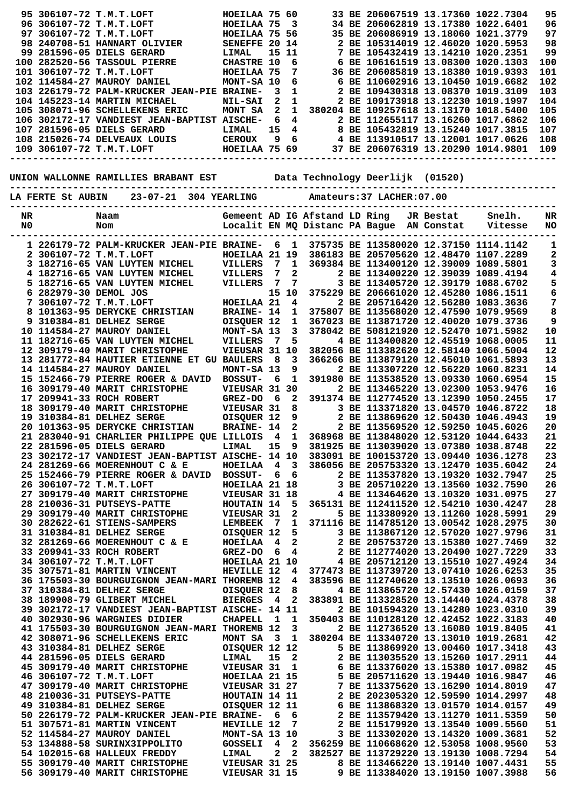|    |                       | 95 306107-72 T.M.T.LOFT                                                                                                                                                                                                               | HOEILAA 75 60          |              |                         |                               | 33 BE 206067519 13.17360 1022.7304                                                      |           |         | 95         |
|----|-----------------------|---------------------------------------------------------------------------------------------------------------------------------------------------------------------------------------------------------------------------------------|------------------------|--------------|-------------------------|-------------------------------|-----------------------------------------------------------------------------------------|-----------|---------|------------|
|    |                       | 96 306107-72 T.M.T.LOFT                                                                                                                                                                                                               | HOEILAA 75             |              | $\overline{\mathbf{3}}$ |                               | 34 BE 206062819 13.17380 1022.6401                                                      |           |         | 96         |
|    |                       | 97 306107-72 T.M.T.LOFT                                                                                                                                                                                                               | HOEILAA 75 56          |              |                         |                               | 35 BE 206086919 13.18060 1021.3779                                                      |           |         | 97         |
|    |                       | 98 240708-51 HANNART OLIVIER<br>99 281596-05 DIELS GERARD                                                                                                                                                                             | SENEFFE 20 14<br>LIMAL | 15 11        |                         |                               | 2 BE 105314019 12.46020 1020.5953<br>7 BE 105432419 13.14210 1020.2351                  |           |         | 98<br>99   |
|    |                       | 100 282520-56 TASSOUL PIERRE                                                                                                                                                                                                          | <b>CHASTRE 10</b>      |              | 6                       |                               | 6 BE 106161519 13.08300 1020.1303                                                       |           |         | 100        |
|    |                       | 101 306107-72 T.M.T.LOFT                                                                                                                                                                                                              | HOEILAA 75             |              | 7                       |                               | 36 BE 206085819 13.18380 1019.9393                                                      |           |         | 101        |
|    |                       | 102 114584-27 MAUROY DANIEL                                                                                                                                                                                                           | MONT-SA 10             |              | 6                       |                               | 6 BE 110602916 13.10450 1019.6682                                                       |           |         | 102        |
|    |                       | 103 226179-72 PALM-KRUCKER JEAN-PIE BRAINE-                                                                                                                                                                                           |                        | 3            | 1                       |                               | 2 BE 109430318 13.08370 1019.3109                                                       |           |         | 103        |
|    |                       | 104 145223-14 MARTIN MICHAEL                                                                                                                                                                                                          | <b>NIL-SAI</b>         | 2            | $\mathbf 1$             |                               | 2 BE 109173918 13.12230 1019.1997                                                       |           |         | 104        |
|    |                       | 105 308071-96 SCHELLEKENS ERIC                                                                                                                                                                                                        | MONT SA                | $\mathbf{2}$ | $\mathbf{1}$            |                               | 380204 BE 109257618 13.13170 1018.5400                                                  |           |         | 105        |
|    |                       | 106 302172-17 VANDIEST JEAN-BAPTIST AISCHE-<br>107 281596-05 DIELS GERARD                                                                                                                                                             | <b>LIMAL</b>           | 6<br>15      | $\overline{4}$<br>4     |                               | 2 BE 112655117 13.16260 1017.6862<br>8 BE 105432819 13.15240 1017.3815                  |           |         | 106<br>107 |
|    |                       | 108 215026-74 DELVEAUX LOUIS                                                                                                                                                                                                          | <b>CEROUX</b>          | 9            | $6^{\circ}$             |                               | 4 BE 113910517 13.12001 1017.0626                                                       |           |         | 108        |
|    |                       | 109 306107-72 T.M.T.LOFT                                                                                                                                                                                                              | HOEILAA 75 69          |              |                         |                               | 37 BE 206076319 13.20290 1014.9801                                                      |           |         | 109        |
|    |                       |                                                                                                                                                                                                                                       |                        |              |                         |                               |                                                                                         |           |         |            |
|    |                       |                                                                                                                                                                                                                                       |                        |              |                         |                               |                                                                                         |           |         |            |
|    |                       | UNION WALLONNE RAMILLIES BRABANT EST           Data Technology Deerlijk (01520)                                                                                                                                                       |                        |              |                         |                               |                                                                                         |           |         |            |
|    |                       | LA FERTE St AUBIN 23-07-21 304 YEARLING                                                                                                                                                                                               |                        |              |                         |                               | Amateurs:37 LACHER:07.00                                                                |           |         |            |
|    |                       |                                                                                                                                                                                                                                       |                        |              |                         |                               |                                                                                         |           |         |            |
| NR |                       | Naam                                                                                                                                                                                                                                  |                        |              |                         | Gemeent AD IG Afstand LD Ring |                                                                                         | JR Bestat | Snelh.  | NR         |
| N0 |                       | Nom                                                                                                                                                                                                                                   |                        |              |                         |                               | Localit EN MQ Distanc PA Bague AN Constat                                               |           | Vitesse | NO         |
|    |                       | 1 226179-72 PALM-KRUCKER JEAN-PIE BRAINE-                                                                                                                                                                                             |                        |              | 6 1                     |                               | 375735 BE 113580020 12.37150 1114.1142                                                  |           |         |            |
|    |                       | 2 306107-72 T.M.T.LOFT                                                                                                                                                                                                                | HOEILAA 21 19          |              |                         |                               | 386183 BE 205705620 12.48470 1107.2289                                                  |           |         | 1<br>2     |
|    |                       | 3 182716-65 VAN LUYTEN MICHEL                                                                                                                                                                                                         | <b>VILLERS</b>         | $7\degree$   | $\mathbf{1}$            |                               | 369384 BE 113400120 12.39009 1089.5801                                                  |           |         | 3          |
|    |                       | 4 182716-65 VAN LUYTEN MICHEL                                                                                                                                                                                                         | VILLERS                | 7            | $\overline{2}$          |                               | 2 BE 113400220 12.39039 1089.4194                                                       |           |         | 4          |
|    |                       | 5 182716-65 VAN LUYTEN MICHEL                                                                                                                                                                                                         | VILLERS                | 7            | 7                       |                               | 3 BE 113405720 12.39179 1088.6702                                                       |           |         |            |
|    | 6 282979-30 DEMOL JOS |                                                                                                                                                                                                                                       |                        |              | 15 10                   |                               | 375229 BE 206661020 12.45280 1086.1511                                                  |           |         | 5<br>6     |
|    |                       | 7 306107-72 T.M.T.LOFT                                                                                                                                                                                                                | HOEILAA 21             |              | 4                       |                               | 2 BE 205716420 12.56280 1083.3636                                                       |           |         | 7          |
|    |                       | 8 101363-95 DERYCKE CHRISTIAN                                                                                                                                                                                                         | <b>BRAINE- 14</b>      |              |                         |                               | 1 375807 BE 113568020 12.47590 1079.9569                                                |           |         | 8          |
|    |                       | 9 310384-81 DELHEZ SERGE                                                                                                                                                                                                              | OISQUER 12             |              | 1                       |                               | 367023 BE 113871720 12.40020 1079.3736                                                  |           |         | 9          |
|    |                       | 10 114584-27 MAUROY DANIEL                                                                                                                                                                                                            | MONT-SA 13             |              | 3                       |                               | 378042 BE 508121920 12.52470 1071.5982                                                  |           |         | ${\bf 10}$ |
|    |                       | 11 182716-65 VAN LUYTEN MICHEL                                                                                                                                                                                                        | VILLERS                | - 7          | 5                       |                               | 4 BE 113400820 12.45519 1068.0005                                                       |           |         | 11<br>12   |
|    |                       | 12 309179-40 MARIT CHRISTOPHE<br>13 281772-84 HAUTIER ETIENNE ET GU BAULERS                                                                                                                                                           | VIEUSAR 31 10          | 8            | 3                       |                               | 382056 BE 113382620 12.58140 1066.5004<br>366266 BE 113879120 12.45010 1061.5893        |           |         | 13         |
|    |                       | 14 114584-27 MAUROY DANIEL                                                                                                                                                                                                            | MONT-SA 13             |              | 9                       |                               | 2 BE 113307220 12.56220 1060.8231                                                       |           |         | 14         |
|    |                       | 15 152466-79 PIERRE ROGER & DAVID                                                                                                                                                                                                     | <b>BOSSUT-</b>         | 6            | 1                       |                               | 391980 BE 113538520 13.09330 1060.6954                                                  |           |         | 15         |
|    |                       | 16 309179-40 MARIT CHRISTOPHE                                                                                                                                                                                                         | VIEUSAR 31 30          |              |                         |                               | 2 BE 113465220 13.02300 1053.9476                                                       |           |         | 16         |
|    |                       | 17 209941-33 ROCH ROBERT                                                                                                                                                                                                              | <b>GREZ-DO</b>         | - 6          | $\overline{2}$          |                               | 391374 BE 112774520 13.12390 1050.2455                                                  |           |         | 17         |
|    |                       | 18 309179-40 MARIT CHRISTOPHE                                                                                                                                                                                                         | <b>VIEUSAR 31</b>      |              | 8                       |                               | 3 BE 113371820 13.04570 1046.8722                                                       |           |         | 18         |
|    |                       | 19 310384-81 DELHEZ SERGE                                                                                                                                                                                                             | OISQUER 12             |              |                         | $\overline{9}$                | 2 BE 113869620 12.50430 1046.4943                                                       |           |         | 19         |
|    |                       | 20 101363-95 DERYCKE CHRISTIAN                                                                                                                                                                                                        | <b>BRAINE- 14</b>      |              | $\overline{\mathbf{2}}$ |                               | 2 BE 113569520 12.59250 1045.6026                                                       |           |         | 20         |
|    |                       | 21 283040-91 CHARLIER PHILIPPE QUE LILLOIS 4                                                                                                                                                                                          |                        |              |                         |                               | 1 368968 BE 113848020 12.53120 1044.6433                                                |           |         | 21         |
|    |                       | 22 281596-05 DIELS GERARD LIMAL 15 9 381925 BE 113039020 13.07380 1038.8748<br>23 302172-17 VANDIEST JEAN-BAPTIST AISCHE- 14 10 383091 BE 100153720 13.09440 1036.1278                                                                |                        |              |                         |                               |                                                                                         |           |         | 22<br>23   |
|    |                       | 24 281269-66 MOERENHOUT C & E HOEILAA 4 3 386056 BE 205753320 13.12470 1035.6042                                                                                                                                                      |                        |              |                         |                               |                                                                                         |           |         | 24         |
|    |                       | 24 281269-66 MOERENHOUT C & B (25 152466-79 PIERRE ROGER & DAVID BOSSUT- 6 6<br>25 152466-79 PIERRE ROGER & DAVID BOSSUT- 6 6                                                                                                         |                        |              |                         |                               | 2 BE 113537820 13.19320 1032.7947                                                       |           |         | 25         |
|    |                       |                                                                                                                                                                                                                                       |                        |              |                         |                               | 3 BE 205710220 13.13560 1032.7590                                                       |           |         | 26         |
|    |                       | 27 309179-40 MARIT CHRISTOPHE VIEUSAR 31 18                                                                                                                                                                                           |                        |              |                         |                               | 4 BE 113464620 13.10320 1031.0975                                                       |           |         | 27         |
|    |                       | 28 210036-31 PUTSEYS-PATTE HOUTAIN 14 5 365131 BE 112411520 12.54210 1030.4247<br>29 309179-40 MARIT CHRISTOPHE VIEUSAR 31 2 5 BE 113380920 13.11260 1028.5991<br>30 282622-61 STIENS-SAMPERS LEMBEEK 7 1 371116 BE 114785120 13.005  |                        |              |                         |                               |                                                                                         |           |         | 28         |
|    |                       |                                                                                                                                                                                                                                       |                        |              |                         |                               |                                                                                         |           |         | 29         |
|    |                       |                                                                                                                                                                                                                                       |                        |              |                         |                               |                                                                                         |           |         | 30         |
|    |                       | 31 310384-81 DELHEZ SERGE<br>32 281269-66 MOERENHOUT C & E HOEILAA 4 2 2 BE 113867120 12.57020 1027.9796<br>33 209941-33 ROCH ROBERT GREZ-DO 6 4 2 BE 112774020 13.15380 1027.7229<br>34 306107-72 T.M.T.LOFT HOEILAA 21 10 4 BE 205  |                        |              |                         |                               |                                                                                         |           |         | 31<br>32   |
|    |                       |                                                                                                                                                                                                                                       |                        |              |                         |                               |                                                                                         |           |         | 33         |
|    |                       |                                                                                                                                                                                                                                       |                        |              |                         |                               |                                                                                         |           |         | 34         |
|    |                       |                                                                                                                                                                                                                                       |                        |              |                         |                               |                                                                                         |           |         | 35         |
|    |                       | 36 175503-30 BOURGUIGNON JEAN-MARI THOREMB 12                                                                                                                                                                                         |                        |              |                         |                               | 4 383596 BE 112740620 13.13510 1026.0693                                                |           |         | 36         |
|    |                       | 37 310384-81 DELHEZ SERGE                                                                                                                                                                                                             | OISQUER 12             |              |                         | 8                             | 4 BE 113865720 12.57430 1026.0159                                                       |           |         | 37         |
|    |                       | 38 189908-79 GLIBERT MICHEL BIERGES 4 2 383891 BE 113328520 13.14440 1024.4378                                                                                                                                                        |                        |              |                         |                               |                                                                                         |           |         | 38         |
|    |                       | 39 302172-17 VANDIEST JEAN-BAPTIST AISCHE- 14 11                                                                                                                                                                                      |                        |              |                         |                               | 2 BE 101594320 13.14280 1023.0310                                                       |           |         | 39         |
|    |                       | 40 302930-96 WARGNIES DIDIER                                                                                                                                                                                                          |                        |              |                         |                               | CHAPELL 1 1 350403 BE 110128120 12.42452 1022.3183                                      |           |         | 40         |
|    |                       | 41 175503-30 BOURGUIGNON JEAN-MARI THOREMB 12<br>42 308071-96 SCHELLEKENS ERIC                                                                                                                                                        |                        |              |                         | $\overline{\mathbf{3}}$       | 2 BE 112736520 13.16080 1019.8405<br>MONT SA 3 1 380204 BE 113340720 13.13010 1019.2681 |           |         | 41<br>42   |
|    |                       |                                                                                                                                                                                                                                       |                        |              |                         |                               |                                                                                         |           |         | 43         |
|    |                       |                                                                                                                                                                                                                                       |                        |              |                         |                               |                                                                                         |           |         | 44         |
|    |                       |                                                                                                                                                                                                                                       |                        |              |                         |                               |                                                                                         |           |         | 45         |
|    |                       |                                                                                                                                                                                                                                       |                        |              |                         |                               |                                                                                         |           |         | 46         |
|    |                       |                                                                                                                                                                                                                                       |                        |              |                         |                               |                                                                                         |           |         | 47         |
|    |                       | 42 310384-81 DELHEZ SERGE<br>43 310384-81 DELHEZ SERGE<br>44 281596-05 DIELS GERARD LIMAL 15 2 2 BE 113869920 13.00460 1017.3418<br>44 281596-05 DIELS GERARD LIMAL 15 2 2 BE 113376020 13.15260 1017.3418<br>46 306107-72 T.M.T.LOFT |                        |              |                         |                               |                                                                                         |           |         | 48         |
|    |                       |                                                                                                                                                                                                                                       |                        |              |                         |                               |                                                                                         |           |         | 49         |
|    |                       |                                                                                                                                                                                                                                       |                        |              |                         |                               |                                                                                         |           |         | 50         |
|    |                       |                                                                                                                                                                                                                                       |                        |              |                         |                               |                                                                                         |           |         | 51         |
|    |                       |                                                                                                                                                                                                                                       |                        |              |                         |                               |                                                                                         |           |         | 52<br>53   |
|    |                       |                                                                                                                                                                                                                                       |                        |              |                         |                               |                                                                                         |           |         | 54         |
|    |                       |                                                                                                                                                                                                                                       |                        |              |                         |                               |                                                                                         |           |         | 55         |
|    |                       | 52 114584-27 MAUROY DANIEL MONT-SA 13 10 3 BE 113302020 13.14320 1009.3681<br>53 134888-58 SURINX3IPPOLITO GOSSELI 4 2 356259 BE 110668620 12.53058 1008.9560<br>54 102015-68 HALLEUX FREDDY LIMAL 2 2 382527 BE 113729220 13.1913    |                        |              |                         |                               |                                                                                         |           |         | 56         |
|    |                       |                                                                                                                                                                                                                                       |                        |              |                         |                               |                                                                                         |           |         |            |